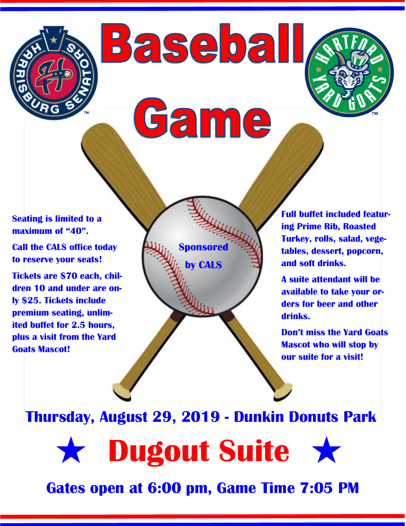

**Baseball** 

Game

**Sponsore** 

**by CALS**

**Seating is limited to a maximum of "40".**

**Call the CALS office today to reserve your seats!**

**Tickets are \$70 each, children 10 and under are only \$25. Tickets include premium seating, unlimited buffet for 2.5 hours, plus a visit from the Yard Goats Mascot!**

**Full buffet included featuring Prime Rib, Roasted Turkey, rolls, salad, vegetables, dessert, popcorn, and soft drinks.**

**A suite attendant will be available to take your orders for beer and other drinks.**

**Don't miss the Yard Goats Mascot who will stop by our suite for a visit!**

**Thursday, August 29, 2019 - Dunkin Donuts Park**

**Dugout Suite \*** 

**Gates open at 6:00 pm, Game Time 7:05 PM**